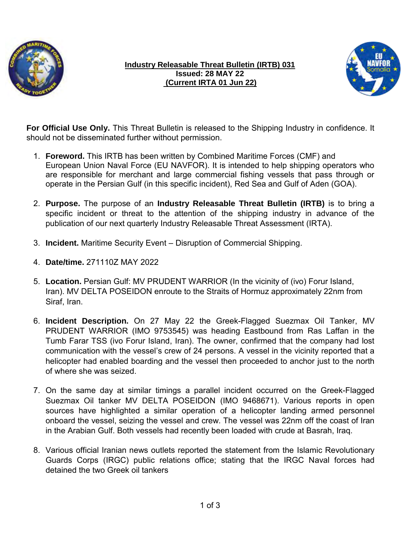

### **Industry Releasable Threat Bulletin (IRTB) 031 Issued: 28 MAY 22 (Current IRTA 01 Jun 22)**



**For Official Use Only.** This Threat Bulletin is released to the Shipping Industry in confidence. It should not be disseminated further without permission.

- 1. **Foreword.** This IRTB has been written by Combined Maritime Forces (CMF) and European Union Naval Force (EU NAVFOR). It is intended to help shipping operators who are responsible for merchant and large commercial fishing vessels that pass through or operate in the Persian Gulf (in this specific incident), Red Sea and Gulf of Aden (GOA).
- 2. **Purpose.** The purpose of an **Industry Releasable Threat Bulletin (IRTB)** is to bring a specific incident or threat to the attention of the shipping industry in advance of the publication of our next quarterly Industry Releasable Threat Assessment (IRTA).
- 3. **Incident.** Maritime Security Event Disruption of Commercial Shipping.
- 4. **Date/time.** 271110Z MAY 2022
- 5. **Location.** Persian Gulf: MV PRUDENT WARRIOR (In the vicinity of (ivo) Forur Island, Iran). MV DELTA POSEIDON enroute to the Straits of Hormuz approximately 22nm from Siraf, Iran.
- 6. **Incident Description.** On 27 May 22 the Greek-Flagged Suezmax Oil Tanker, MV PRUDENT WARRIOR (IMO 9753545) was heading Eastbound from Ras Laffan in the Tumb Farar TSS (ivo Forur Island, Iran). The owner, confirmed that the company had lost communication with the vessel's crew of 24 persons. A vessel in the vicinity reported that a helicopter had enabled boarding and the vessel then proceeded to anchor just to the north of where she was seized.
- 7. On the same day at similar timings a parallel incident occurred on the Greek-Flagged Suezmax Oil tanker MV DELTA POSEIDON (IMO 9468671). Various reports in open sources have highlighted a similar operation of a helicopter landing armed personnel onboard the vessel, seizing the vessel and crew. The vessel was 22nm off the coast of Iran in the Arabian Gulf. Both vessels had recently been loaded with crude at Basrah, Iraq.
- 8. Various official Iranian news outlets reported the statement from the Islamic Revolutionary Guards Corps (IRGC) public relations office; stating that the IRGC Naval forces had detained the two Greek oil tankers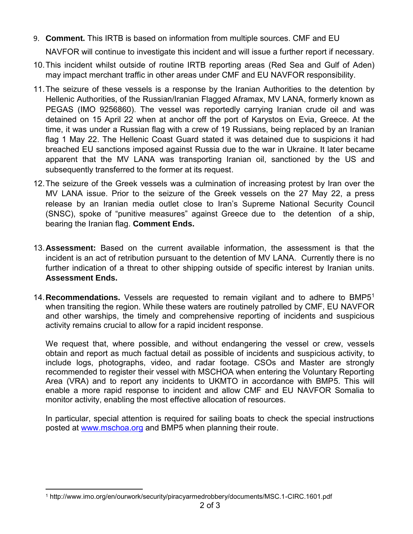9. **Comment.** This IRTB is based on information from multiple sources. CMF and EU

NAVFOR will continue to investigate this incident and will issue a further report if necessary.

- 10.This incident whilst outside of routine IRTB reporting areas (Red Sea and Gulf of Aden) may impact merchant traffic in other areas under CMF and EU NAVFOR responsibility.
- 11.The seizure of these vessels is a response by the Iranian Authorities to the detention by Hellenic Authorities, of the Russian/Iranian Flagged Aframax, MV LANA, formerly known as PEGAS (IMO 9256860). The vessel was reportedly carrying Iranian crude oil and was detained on 15 April 22 when at anchor off the port of Karystos on Evia, Greece. At the time, it was under a Russian flag with a crew of 19 Russians, being replaced by an Iranian flag 1 May 22. The Hellenic Coast Guard stated it was detained due to suspicions it had breached EU sanctions imposed against Russia due to the war in Ukraine. It later became apparent that the MV LANA was transporting Iranian oil, sanctioned by the US and subsequently transferred to the former at its request.
- 12.The seizure of the Greek vessels was a culmination of increasing protest by Iran over the MV LANA issue. Prior to the seizure of the Greek vessels on the 27 May 22, a press release by an Iranian media outlet close to Iran's Supreme National Security Council (SNSC), spoke of "punitive measures" against Greece due to the detention of a ship, bearing the Iranian flag. **Comment Ends.**
- 13.**Assessment:** Based on the current available information, the assessment is that the incident is an act of retribution pursuant to the detention of MV LANA. Currently there is no further indication of a threat to other shipping outside of specific interest by Iranian units. **Assessment Ends.**
- 14.**Recommendations.** Vessels are requested to remain vigilant and to adhere to BMP5<sup>1</sup> when transiting the region. While these waters are routinely patrolled by CMF, EU NAVFOR and other warships, the timely and comprehensive reporting of incidents and suspicious activity remains crucial to allow for a rapid incident response.

We request that, where possible, and without endangering the vessel or crew, vessels obtain and report as much factual detail as possible of incidents and suspicious activity, to include logs, photographs, video, and radar footage. CSOs and Master are strongly recommended to register their vessel with MSCHOA when entering the Voluntary Reporting Area (VRA) and to report any incidents to UKMTO in accordance with BMP5. This will enable a more rapid response to incident and allow CMF and EU NAVFOR Somalia to monitor activity, enabling the most effective allocation of resources.

In particular, special attention is required for sailing boats to check the special instructions posted at [www.mschoa.org](http://www.mschoa.org/) and BMP5 when planning their route.

 $\overline{a}$ <sup>1</sup> http://www.imo.org/en/ourwork/security/piracyarmedrobbery/documents/MSC.1-CIRC.1601.pdf